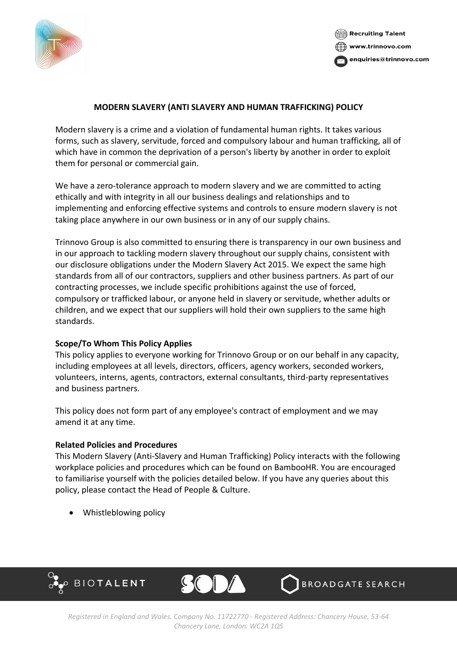



# **MODERN SLAVERY (ANTI SLAVERY AND HUMAN TRAFFICKING) POLICY**

Modern slavery is a crime and a violation of fundamental human rights. It takes various forms, such as slavery, servitude, forced and compulsory labour and human trafficking, all of which have in common the deprivation of a person's liberty by another in order to exploit them for personal or commercial gain.

We have a zero-tolerance approach to modern slavery and we are committed to acting ethically and with integrity in all our business dealings and relationships and to implementing and enforcing effective systems and controls to ensure modern slavery is not taking place anywhere in our own business or in any of our supply chains.

Trinnovo Group is also committed to ensuring there is transparency in our own business and in our approach to tackling modern slavery throughout our supply chains, consistent with our disclosure obligations under the Modern Slavery Act 2015. We expect the same high standards from all of our contractors, suppliers and other business partners. As part of our contracting processes, we include specific prohibitions against the use of forced, compulsory or trafficked labour, or anyone held in slavery or servitude, whether adults or children, and we expect that our suppliers will hold their own suppliers to the same high standards.

# **Scope/To Whom This Policy Applies**

This policy applies to everyone working for Trinnovo Group or on our behalf in any capacity, including employees at all levels, directors, officers, agency workers, seconded workers, volunteers, interns, agents, contractors, external consultants, third-party representatives and business partners.

This policy does not form part of any employee's contract of employment and we may amend it at any time.

### **Related Policies and Procedures**

This Modern Slavery (Anti-Slavery and Human Trafficking) Policy interacts with the following workplace policies and procedures which can be found on BambooHR. You are encouraged to familiarise yourself with the policies detailed below. If you have any queries about this policy, please contact the Head of People & Culture.

• Whistleblowing policy





BROADGATE SEARCH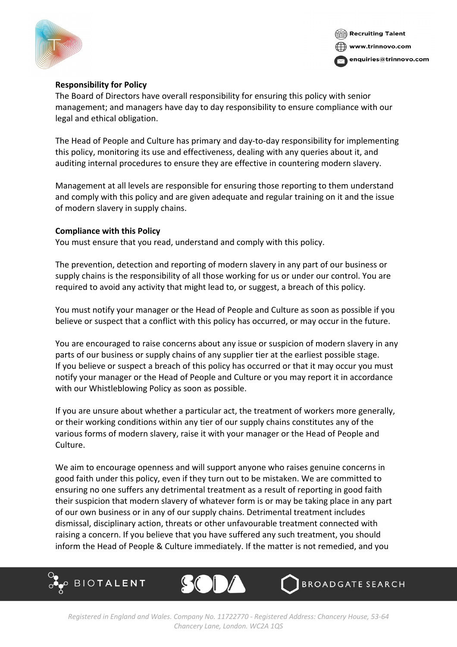



## **Responsibility for Policy**

The Board of Directors have overall responsibility for ensuring this policy with senior management; and managers have day to day responsibility to ensure compliance with our legal and ethical obligation.

The Head of People and Culture has primary and day-to-day responsibility for implementing this policy, monitoring its use and effectiveness, dealing with any queries about it, and auditing internal procedures to ensure they are effective in countering modern slavery.

Management at all levels are responsible for ensuring those reporting to them understand and comply with this policy and are given adequate and regular training on it and the issue of modern slavery in supply chains.

### **Compliance with this Policy**

You must ensure that you read, understand and comply with this policy.

The prevention, detection and reporting of modern slavery in any part of our business or supply chains is the responsibility of all those working for us or under our control. You are required to avoid any activity that might lead to, or suggest, a breach of this policy.

You must notify your manager or the Head of People and Culture as soon as possible if you believe or suspect that a conflict with this policy has occurred, or may occur in the future.

You are encouraged to raise concerns about any issue or suspicion of modern slavery in any parts of our business or supply chains of any supplier tier at the earliest possible stage. If you believe or suspect a breach of this policy has occurred or that it may occur you must notify your manager or the Head of People and Culture or you may report it in accordance with our Whistleblowing Policy as soon as possible.

If you are unsure about whether a particular act, the treatment of workers more generally, or their working conditions within any tier of our supply chains constitutes any of the various forms of modern slavery, raise it with your manager or the Head of People and Culture.

We aim to encourage openness and will support anyone who raises genuine concerns in good faith under this policy, even if they turn out to be mistaken. We are committed to ensuring no one suffers any detrimental treatment as a result of reporting in good faith their suspicion that modern slavery of whatever form is or may be taking place in any part of our own business or in any of our supply chains. Detrimental treatment includes dismissal, disciplinary action, threats or other unfavourable treatment connected with raising a concern. If you believe that you have suffered any such treatment, you should inform the Head of People & Culture immediately. If the matter is not remedied, and you





**BROADGATE SEARCH**